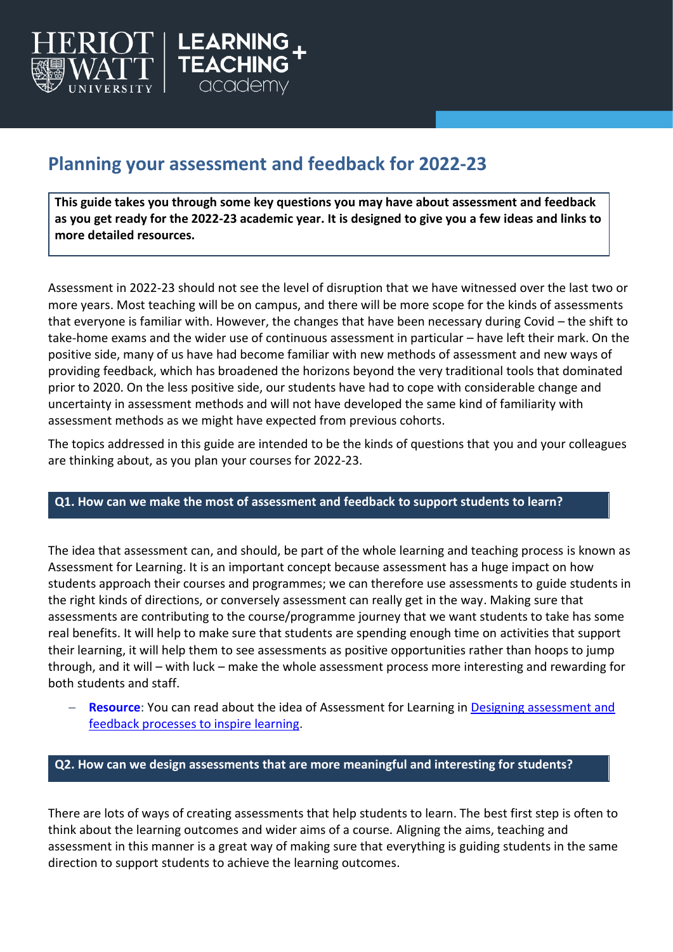

# **Planning your assessment and feedback for 2022-23**

**This guide takes you through some key questions you may have about assessment and feedback as you get ready for the 2022-23 academic year. It is designed to give you a few ideas and links to more detailed resources.**

Assessment in 2022-23 should not see the level of disruption that we have witnessed over the last two or more years. Most teaching will be on campus, and there will be more scope for the kinds of assessments that everyone is familiar with. However, the changes that have been necessary during Covid – the shift to take-home exams and the wider use of continuous assessment in particular – have left their mark. On the positive side, many of us have had become familiar with new methods of assessment and new ways of providing feedback, which has broadened the horizons beyond the very traditional tools that dominated prior to 2020. On the less positive side, our students have had to cope with considerable change and uncertainty in assessment methods and will not have developed the same kind of familiarity with assessment methods as we might have expected from previous cohorts.

The topics addressed in this guide are intended to be the kinds of questions that you and your colleagues are thinking about, as you plan your courses for 2022-23.

#### **Q1. How can we make the most of assessment and feedback to support students to learn?**

The idea that assessment can, and should, be part of the whole learning and teaching process is known as Assessment for Learning. It is an important concept because assessment has a huge impact on how students approach their courses and programmes; we can therefore use assessments to guide students in the right kinds of directions, or conversely assessment can really get in the way. Making sure that assessments are contributing to the course/programme journey that we want students to take has some real benefits. It will help to make sure that students are spending enough time on activities that support their learning, it will help them to see assessments as positive opportunities rather than hoops to jump through, and it will – with luck – make the whole assessment process more interesting and rewarding for both students and staff.

**Resource:** You can read about the idea of Assessment for Learning in Designing assessment and [feedback processes to inspire learning.](https://lta.hw.ac.uk/wp-content/uploads/21_AFL_Designing-assessment-and-feedback-processes-to-inspire-learning.pdf)

### **Q2. How can we design assessments that are more meaningful and interesting for students?**

There are lots of ways of creating assessments that help students to learn. The best first step is often to think about the learning outcomes and wider aims of a course. Aligning the aims, teaching and assessment in this manner is a great way of making sure that everything is guiding students in the same direction to support students to achieve the learning outcomes.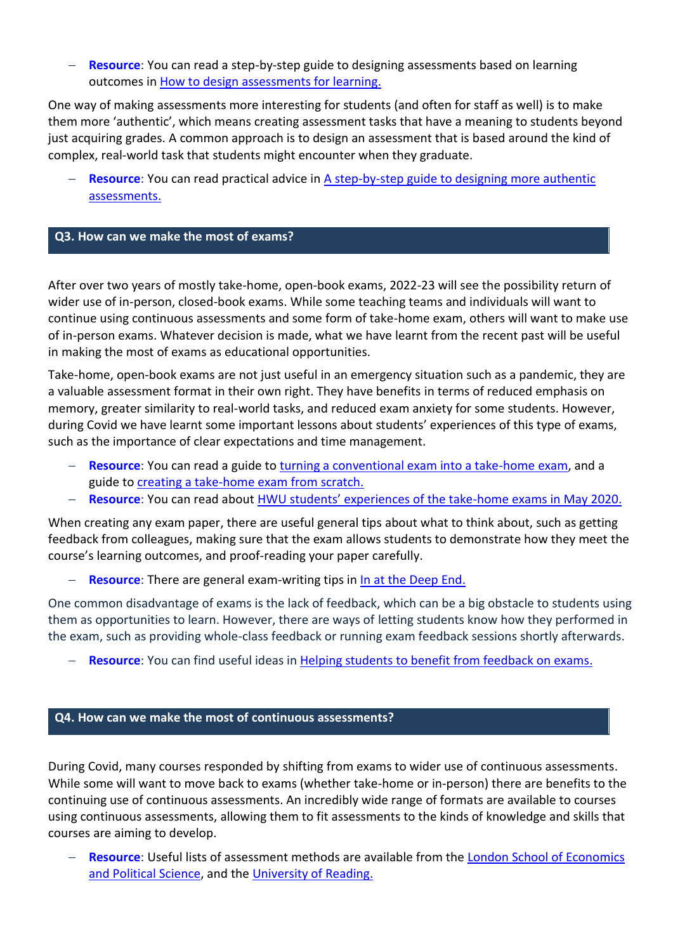**Resource:** You can read a step-by-step guide to designing assessments based on learning outcomes in [How to design assessments for learning.](https://lta.hw.ac.uk/wp-content/uploads/22_AFL_How-to-design-assessments-for-learning.pdf)

One way of making assessments more interesting for students (and often for staff as well) is to make them more 'authentic', which means creating assessment tasks that have a meaning to students beyond just acquiring grades. A common approach is to design an assessment that is based around the kind of complex, real-world task that students might encounter when they graduate.

**Resource:** You can read practical advice in A step-by-step guide to designing more authentic [assessments.](https://lta.hw.ac.uk/wp-content/uploads/GUIDE-NO31_A-step-by-step-guide-to-designing-more-authentic-assessments.pdf)

#### **Q3. How can we make the most of exams?**

After over two years of mostly take-home, open-book exams, 2022-23 will see the possibility return of wider use of in-person, closed-book exams. While some teaching teams and individuals will want to continue using continuous assessments and some form of take-home exam, others will want to make use of in-person exams. Whatever decision is made, what we have learnt from the recent past will be useful in making the most of exams as educational opportunities.

Take-home, open-book exams are not just useful in an emergency situation such as a pandemic, they are a valuable assessment format in their own right. They have benefits in terms of reduced emphasis on memory, greater similarity to real-world tasks, and reduced exam anxiety for some students. However, during Covid we have learnt some important lessons about students' experiences of this type of exams, such as the importance of clear expectations and time management.

- **Resource:** You can read a guide to [turning a conventional exam into a take-home exam,](https://lta.hw.ac.uk/wp-content/uploads/Assessments-Making-your-exam-work-as-a-take-home-assessment.pdf) and a guide to [creating a take-home exam from scratch.](https://lta.hw.ac.uk/wp-content/uploads/SSLO_Creating-a-take-home-exam.pdf)
- − **Resource**: You can read about HWU stud[ents' experiences of the take](https://lta.hw.ac.uk/wp-content/uploads/THEs-The-student-perspective.pdf)-home exams in May 2020.

When creating any exam paper, there are useful general tips about what to think about, such as getting feedback from colleagues, making sure that the exam allows students to demonstrate how they meet the course's learning outcomes, and proof-reading your paper carefully.

**Resource:** There are general exam-writing tips in [In at the Deep End.](https://www2.hw.ac.uk/mediaservices/pageflip/LTA/In_at_the_Deep_End_Document/In_at_the_Deep_End_Document.pdf#page=38)

One common disadvantage of exams is the lack of feedback, which can be a big obstacle to students using them as opportunities to learn. However, there are ways of letting students know how they performed in the exam, such as providing whole-class feedback or running exam feedback sessions shortly afterwards.

**Resource**: You can find useful ideas in [Helping students to benefit from feedback on exams.](https://lta.hw.ac.uk/wp-content/uploads/GUIDE-NO12_Helping-students-to-benefit-from-feedback-on-exams.pdf)

#### **Q4. How can we make the most of continuous assessments?**

During Covid, many courses responded by shifting from exams to wider use of continuous assessments. While some will want to move back to exams (whether take-home or in-person) there are benefits to the continuing use of continuous assessments. An incredibly wide range of formats are available to courses using continuous assessments, allowing them to fit assessments to the kinds of knowledge and skills that courses are aiming to develop.

− **Resource**: Useful lists of assessment methods are available from the [London School of Economics](https://info.lse.ac.uk/staff/divisions/Eden-Centre/Assessment-Toolkit/Assessment-methods/Assessment-methods) [and Political Science,](https://info.lse.ac.uk/staff/divisions/Eden-Centre/Assessment-Toolkit/Assessment-methods/Assessment-methods) and the [University of Reading.](https://www.reading.ac.uk/web/files/eia/A-Z_of_Assessment_Methods_FINAL_table.pdf)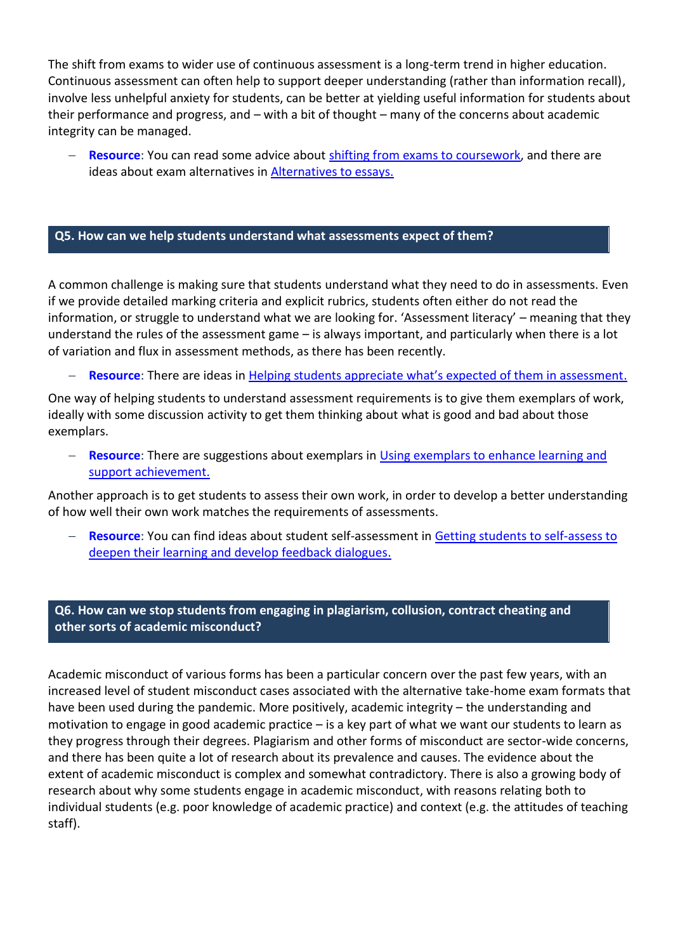The shift from exams to wider use of continuous assessment is a long-term trend in higher education. Continuous assessment can often help to support deeper understanding (rather than information recall), involve less unhelpful anxiety for students, can be better at yielding useful information for students about their performance and progress, and – with a bit of thought – many of the concerns about academic integrity can be managed.

**Resource:** You can read some advice about [shifting from exams to coursework,](https://lta.hw.ac.uk/wp-content/uploads/Assessments-Guide-to-exam-alternatives.pdf) and there are ideas about exam alternatives in [Alternatives to essays.](https://lta.hw.ac.uk/wp-content/uploads/GUIDE-NO6_Alternatives-to-essays.pdf)

#### **Q5. How can we help students understand what assessments expect of them?**

A common challenge is making sure that students understand what they need to do in assessments. Even if we provide detailed marking criteria and explicit rubrics, students often either do not read the information, or struggle to understand what we are looking for. 'Assessment literacy' – meaning that they understand the rules of the assessment game – is always important, and particularly when there is a lot of variation and flux in assessment methods, as there has been recently.

**Resource:** There are ideas in [Helping students appreciate what's expected of them in assessment](https://lta.hw.ac.uk/wp-content/uploads/GUIDE-NO8_Assessment-Literacy.pdf).

One way of helping students to understand assessment requirements is to give them exemplars of work, ideally with some discussion activity to get them thinking about what is good and bad about those exemplars.

**Resource**: There are suggestions about exemplars in Using exemplars to enhance learning and [support achievement.](https://lta.hw.ac.uk/wp-content/uploads/GUIDE-NO9_Exemplers.pdf)

Another approach is to get students to assess their own work, in order to develop a better understanding of how well their own work matches the requirements of assessments.

**Resource:** You can find ideas about student self-assessment in Getting students to self-assess to [deepen their learning and develop feedback dialogues.](https://lta.hw.ac.uk/wp-content/uploads/GUIDE-NO7_Getting-students-to-self-assess.pdf)

**Q6. How can we stop students from engaging in plagiarism, collusion, contract cheating and other sorts of academic misconduct?**

Academic misconduct of various forms has been a particular concern over the past few years, with an increased level of student misconduct cases associated with the alternative take-home exam formats that have been used during the pandemic. More positively, academic integrity – the understanding and motivation to engage in good academic practice – is a key part of what we want our students to learn as they progress through their degrees. Plagiarism and other forms of misconduct are sector-wide concerns, and there has been quite a lot of research about its prevalence and causes. The evidence about the extent of academic misconduct is complex and somewhat contradictory. There is also a growing body of research about why some students engage in academic misconduct, with reasons relating both to individual students (e.g. poor knowledge of academic practice) and context (e.g. the attitudes of teaching staff).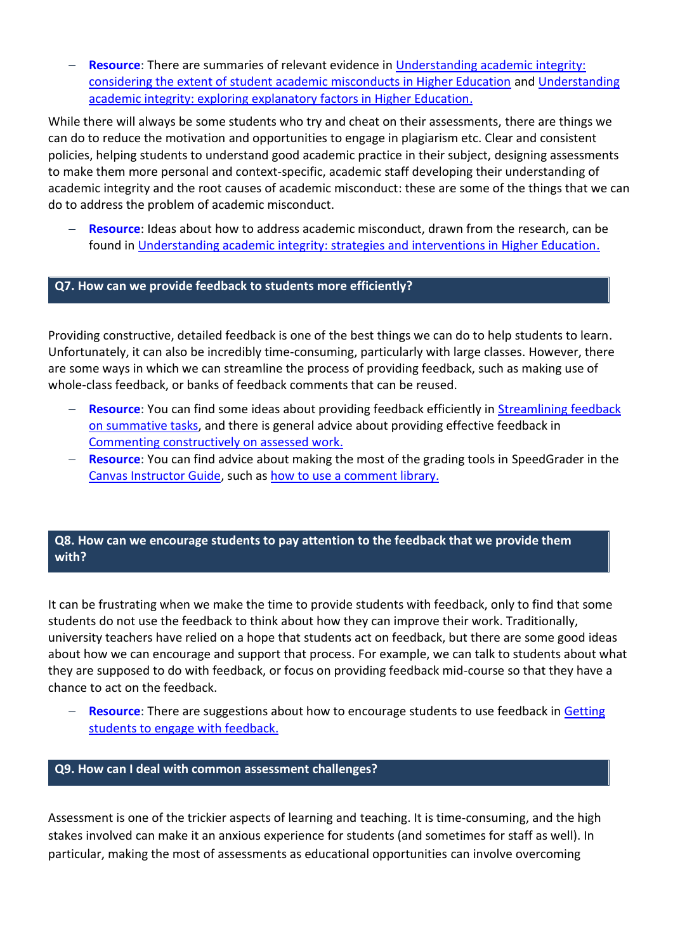− **Resource**: There are summaries of relevant evidence in [Understanding academic integrity:](https://lta.hw.ac.uk/wp-content/uploads/GUIDE-NO33_Understanding-academic-integrity_Extent.pdf)  [considering the extent of student academic misconducts in Higher Education](https://lta.hw.ac.uk/wp-content/uploads/GUIDE-NO33_Understanding-academic-integrity_Extent.pdf) and [Understanding](https://lta.hw.ac.uk/wp-content/uploads/GUIDE-NO34_Understanding-academic-integrity_Explanatory-factors.pdf)  [academic integrity: exploring explanatory factors in Higher Education.](https://lta.hw.ac.uk/wp-content/uploads/GUIDE-NO34_Understanding-academic-integrity_Explanatory-factors.pdf)

While there will always be some students who try and cheat on their assessments, there are things we can do to reduce the motivation and opportunities to engage in plagiarism etc. Clear and consistent policies, helping students to understand good academic practice in their subject, designing assessments to make them more personal and context-specific, academic staff developing their understanding of academic integrity and the root causes of academic misconduct: these are some of the things that we can do to address the problem of academic misconduct.

**Resource:** Ideas about how to address academic misconduct, drawn from the research, can be found in [Understanding academic integrity: strategies and interventions in Higher Education.](https://lta.hw.ac.uk/wp-content/uploads/GUIDE-NO35_Understanding-academic-integrity_Strategies.pdf)

## **Q7. How can we provide feedback to students more efficiently?**

Providing constructive, detailed feedback is one of the best things we can do to help students to learn. Unfortunately, it can also be incredibly time-consuming, particularly with large classes. However, there are some ways in which we can streamline the process of providing feedback, such as making use of whole-class feedback, or banks of feedback comments that can be reused.

- **Resource:** You can find some ideas about providing feedback efficiently in Streamlining feedback [on summative tasks,](https://lta.hw.ac.uk/wp-content/uploads/Guide-NO4_streamlining-feedback-on-summative-tasks.pdf) and there is general advice about providing effective feedback in [Commenting constructively on assessed work.](https://lta.hw.ac.uk/wp-content/uploads/Guide-NO1_Commenting-Constructively.pdf)
- − **Resource**: You can find advice about making the most of the grading tools in SpeedGrader in the [Canvas Instructor Guide,](https://community.canvaslms.com/t5/Instructor-Guide/tkb-p/Instructor#SpeedGrader) such as [how to use a comment library.](https://community.canvaslms.com/t5/Instructor-Guide/How-do-I-use-the-Comment-Library-in-SpeedGrader/ta-p/469482)

# **Q8. How can we encourage students to pay attention to the feedback that we provide them with?**

It can be frustrating when we make the time to provide students with feedback, only to find that some students do not use the feedback to think about how they can improve their work. Traditionally, university teachers have relied on a hope that students act on feedback, but there are some good ideas about how we can encourage and support that process. For example, we can talk to students about what they are supposed to do with feedback, or focus on providing feedback mid-course so that they have a chance to act on the feedback.

**Resource:** There are suggestions about how to encourage students to use feedback in Getting [students to engage with feedback.](https://lta.hw.ac.uk/wp-content/uploads/Guide-NO2_Getting-students-engaged.pdf)

#### **Q9. How can I deal with common assessment challenges?**

Assessment is one of the trickier aspects of learning and teaching. It is time-consuming, and the high stakes involved can make it an anxious experience for students (and sometimes for staff as well). In particular, making the most of assessments as educational opportunities can involve overcoming